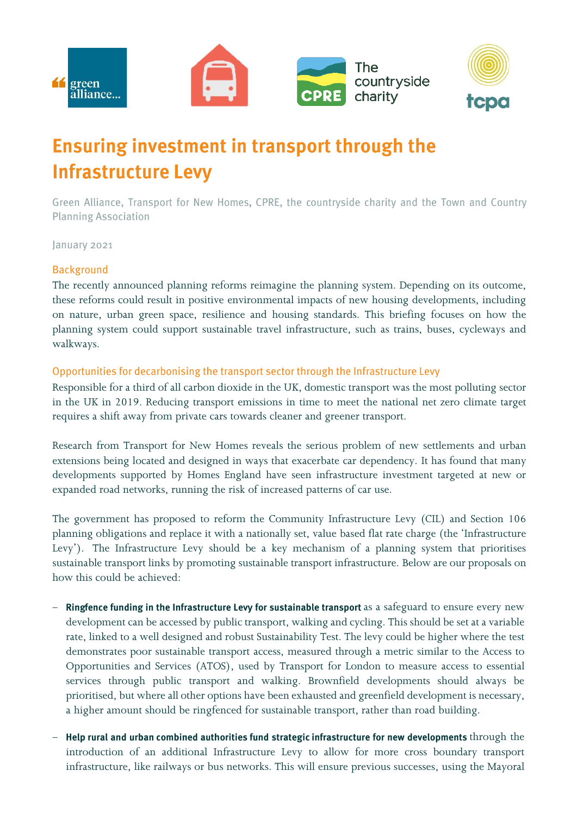

# **Ensuring investment in transport through the Infrastructure Levy**

Green Alliance, Transport for New Homes, CPRE, the countryside charity and the Town and Country **Planning Association** 

January 2021

### **Background**

The recently announced planning reforms reimagine the planning system. Depending on its outcome, these reforms could result in positive environmental impacts of new housing developments, including on nature, urban green space, resilience and housing standards. This briefing focuses on how the planning system could support sustainable travel infrastructure, such as trains, buses, cycleways and walkways.

#### Opportunities for decarbonising the transport sector through the Infrastructure Levy

Responsible for a third of all carbon dioxide in the UK, domestic transport was the most polluting sector in the UK in 2019. Reducing transport emissions in time to meet the national net zero climate target requires a shift away from private cars towards cleaner and greener transport.

Research from Transport for New Homes reveals the serious problem of new settlements and urban extensions being located and designed in ways that exacerbate car dependency. It has found that many developments supported by Homes England have seen infrastructure investment targeted at new or expanded road networks, running the risk of increased patterns of car use.

The government has proposed to reform the Community Infrastructure Levy (CIL) and Section 106 planning obligations and replace it with a nationally set, value based flat rate charge (the 'Infrastructure Levy'). The Infrastructure Levy should be a key mechanism of a planning system that prioritises sustainable transport links by promoting sustainable transport infrastructure. Below are our proposals on how this could be achieved:

- Ringfence funding in the Infrastructure Levy for sustainable transport as a safeguard to ensure every new development can be accessed by public transport, walking and cycling. This should be set at a variable rate, linked to a well designed and robust Sustainability Test. The levy could be higher where the test demonstrates poor sustainable transport access, measured through a metric similar to the Access to Opportunities and Services (ATOS), used by Transport for London to measure access to essential services through public transport and walking. Brownfield developments should always be prioritised, but where all other options have been exhausted and greenfield development is necessary, a higher amount should be ringfenced for sustainable transport, rather than road building.
- − Help rural and urban combined authorities fund strategic infrastructure for new developments through the introduction of an additional Infrastructure Levy to allow for more cross boundary transport infrastructure, like railways or bus networks. This will ensure previous successes, using the Mayoral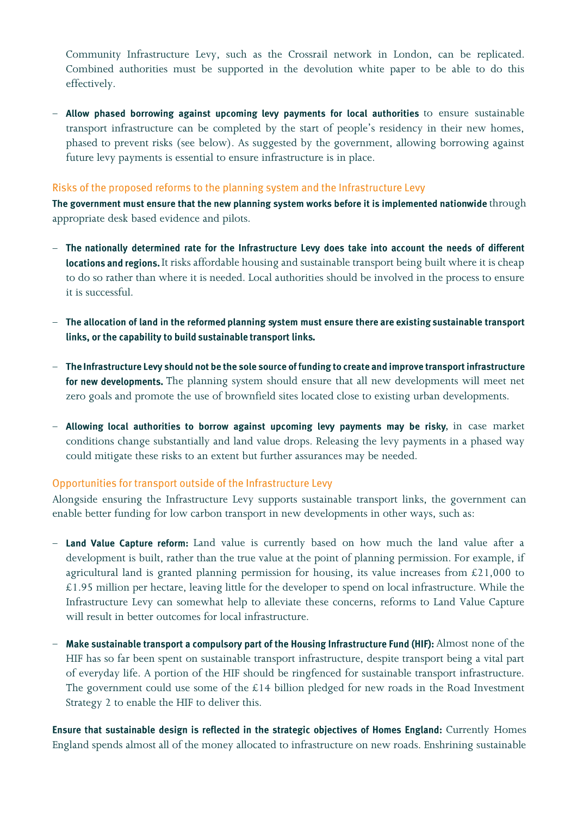Community Infrastructure Levy, such as the Crossrail network in London, can be replicated. Combined authorities must be supported in the devolution white paper to be able to do this effectively.

- Allow phased borrowing against upcoming levy payments for local authorities to ensure sustainable transport infrastructure can be completed by the start of people's residency in their new homes, phased to prevent risks (see below). As suggested by the government, allowing borrowing against future levy payments is essential to ensure infrastructure is in place.

#### Risks of the proposed reforms to the planning system and the Infrastructure Levy

The government must ensure that the new planning system works before it is implemented nationwide through appropriate desk based evidence and pilots.

- The nationally determined rate for the Infrastructure Levy does take into account the needs of different locations and regions. It risks affordable housing and sustainable transport being built where it is cheap to do so rather than where it is needed. Local authorities should be involved in the process to ensure it is successful.
- The allocation of land in the reformed planning system must ensure there are existing sustainable transport links, or the capability to build sustainable transport links.
- − The Infrastructure Levy should not be the sole source of funding to create and improve transport infrastructure for new developments. The planning system should ensure that all new developments will meet net zero goals and promote the use of brownfield sites located close to existing urban developments.
- Allowing local authorities to borrow against upcoming levy payments may be risky, in case market conditions change substantially and land value drops. Releasing the levy payments in a phased way could mitigate these risks to an extent but further assurances may be needed.

## Opportunities for transport outside of the Infrastructure Levy

Alongside ensuring the Infrastructure Levy supports sustainable transport links, the government can enable better funding for low carbon transport in new developments in other ways, such as:

- Land Value Capture reform: Land value is currently based on how much the land value after a development is built, rather than the true value at the point of planning permission. For example, if agricultural land is granted planning permission for housing, its value increases from £21,000 to  $£1.95$  million per hectare, leaving little for the developer to spend on local infrastructure. While the Infrastructure Levy can somewhat help to alleviate these concerns, reforms to Land Value Capture will result in better outcomes for local infrastructure.
- − Make sustainable transport a compulsory part of the Housing Infrastructure Fund (HIF): Almost none of the HIF has so far been spent on sustainable transport infrastructure, despite transport being a vital part of everyday life. A portion of the HIF should be ringfenced for sustainable transport infrastructure. The government could use some of the  $£14$  billion pledged for new roads in the Road Investment Strategy 2 to enable the HIF to deliver this.

Ensure that sustainable design is reflected in the strategic objectives of Homes England: Currently Homes England spends almost all of the money allocated to infrastructure on new roads. Enshrining sustainable